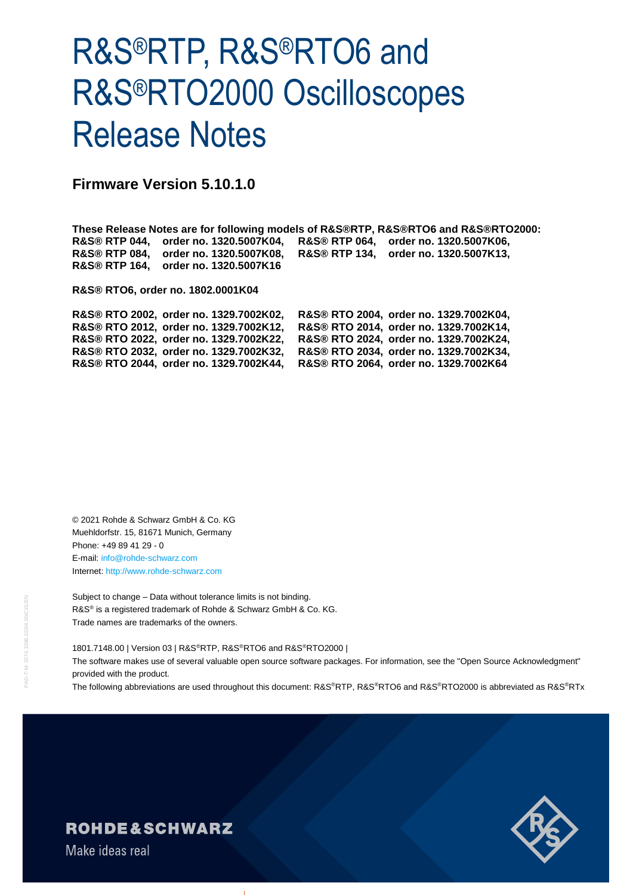# R&S®RTP, R&S®RTO6 and R&S®RTO2000 Oscilloscopes Release Notes

**Firmware Version 5.10.1.0**

**These Release Notes are for following models of R&S®RTP, R&S®RTO6 and R&S®RTO2000: R&S® RTP 044, order no. 1320.5007K04, R&S® RTP 064, order no. 1320.5007K06, R&S® RTP 084, order no. 1320.5007K08, R&S® RTP 134, order no. 1320.5007K13, R&S® RTP 164, order no. 1320.5007K16**

**R&S® RTO6, order no. 1802.0001K04**

**R&S® RTO 2002, order no. 1329.7002K02, R&S® RTO 2004, order no. 1329.7002K04, R&S® RTO 2012, order no. 1329.7002K12, R&S® RTO 2014, order no. 1329.7002K14, R&S® RTO 2022, order no. 1329.7002K22, R&S® RTO 2024, order no. 1329.7002K24, R&S® RTO 2032, order no. 1329.7002K32, R&S® RTO 2034, order no. 1329.7002K34, R&S® RTO 2044, order no. 1329.7002K44, R&S® RTO 2064, order no. 1329.7002K64**

© 2021 Rohde & Schwarz GmbH & Co. KG Muehldorfstr. 15, 81671 Munich, Germany Phone: +49 89 41 29 - 0 E-mail: [info@rohde-schwarz.com](mailto:info@rohde-schwarz.com) Internet[: http://www.rohde-schwarz.com](http://www.rohde-schwarz.com/)

Subject to change – Data without tolerance limits is not binding. R&S<sup>®</sup> is a registered trademark of Rohde & Schwarz GmbH & Co. KG. Trade names are trademarks of the owners.

1801.7148.00 | Version 03 | R&S®RTP, R&S®RTO6 and R&S®RTO2000 |

The software makes use of several valuable open source software packages. For information, see the "Open Source Acknowledgment" provided with the product.

The following abbreviations are used throughout this document: R&S®RTP, R&S®RTO6 and R&S®RTO2000 is abbreviated as R&S®RTx



#### **ROHDE&SCHWARZ**

Make ideas real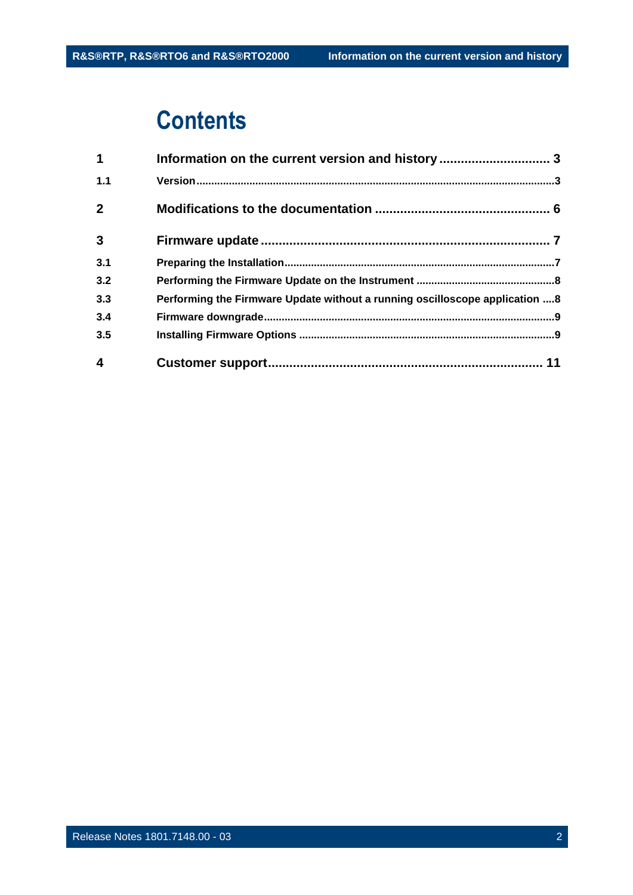## **Contents**

| $\mathbf 1$             | Information on the current version and history  3                           |  |
|-------------------------|-----------------------------------------------------------------------------|--|
| 1.1                     |                                                                             |  |
| $\mathbf{2}$            |                                                                             |  |
| $\mathbf{3}$            |                                                                             |  |
| 3.1                     |                                                                             |  |
| 3.2                     |                                                                             |  |
| 3.3                     | Performing the Firmware Update without a running oscilloscope application 8 |  |
| 3.4                     |                                                                             |  |
| 3.5                     |                                                                             |  |
| $\overline{\mathbf{4}}$ |                                                                             |  |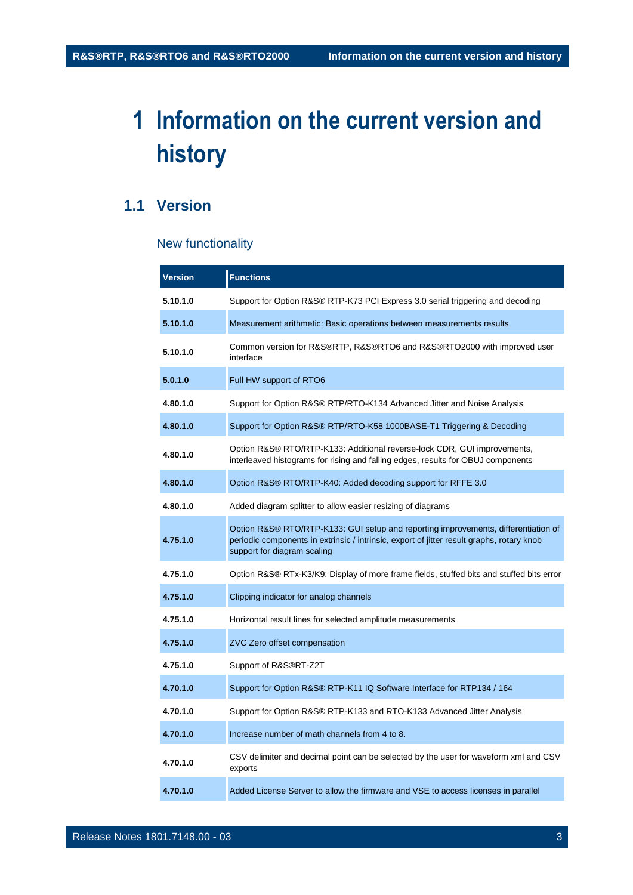## <span id="page-2-0"></span>**1 Information on the current version and history**

#### <span id="page-2-1"></span>**1.1 Version**

#### New functionality

| <b>Version</b> | <b>Functions</b>                                                                                                                                                                                               |  |  |  |
|----------------|----------------------------------------------------------------------------------------------------------------------------------------------------------------------------------------------------------------|--|--|--|
| 5.10.1.0       | Support for Option R&S® RTP-K73 PCI Express 3.0 serial triggering and decoding                                                                                                                                 |  |  |  |
| 5.10.1.0       | Measurement arithmetic: Basic operations between measurements results                                                                                                                                          |  |  |  |
| 5.10.1.0       | Common version for R&S®RTP, R&S®RTO6 and R&S®RTO2000 with improved user<br>interface                                                                                                                           |  |  |  |
| 5.0.1.0        | Full HW support of RTO6                                                                                                                                                                                        |  |  |  |
| 4.80.1.0       | Support for Option R&S® RTP/RTO-K134 Advanced Jitter and Noise Analysis                                                                                                                                        |  |  |  |
| 4.80.1.0       | Support for Option R&S® RTP/RTO-K58 1000BASE-T1 Triggering & Decoding                                                                                                                                          |  |  |  |
| 4.80.1.0       | Option R&S® RTO/RTP-K133: Additional reverse-lock CDR, GUI improvements,<br>interleaved histograms for rising and falling edges, results for OBUJ components                                                   |  |  |  |
| 4.80.1.0       | Option R&S® RTO/RTP-K40: Added decoding support for RFFE 3.0                                                                                                                                                   |  |  |  |
| 4.80.1.0       | Added diagram splitter to allow easier resizing of diagrams                                                                                                                                                    |  |  |  |
| 4.75.1.0       | Option R&S® RTO/RTP-K133: GUI setup and reporting improvements, differentiation of<br>periodic components in extrinsic / intrinsic, export of jitter result graphs, rotary knob<br>support for diagram scaling |  |  |  |
| 4.75.1.0       | Option R&S® RTx-K3/K9: Display of more frame fields, stuffed bits and stuffed bits error                                                                                                                       |  |  |  |
| 4.75.1.0       | Clipping indicator for analog channels                                                                                                                                                                         |  |  |  |
| 4.75.1.0       | Horizontal result lines for selected amplitude measurements                                                                                                                                                    |  |  |  |
| 4.75.1.0       | ZVC Zero offset compensation                                                                                                                                                                                   |  |  |  |
| 4.75.1.0       | Support of R&S®RT-Z2T                                                                                                                                                                                          |  |  |  |
| 4.70.1.0       | Support for Option R&S® RTP-K11 IQ Software Interface for RTP134 / 164                                                                                                                                         |  |  |  |
| 4.70.1.0       | Support for Option R&S® RTP-K133 and RTO-K133 Advanced Jitter Analysis                                                                                                                                         |  |  |  |
| 4.70.1.0       | Increase number of math channels from 4 to 8.                                                                                                                                                                  |  |  |  |
| 4.70.1.0       | CSV delimiter and decimal point can be selected by the user for waveform xml and CSV<br>exports                                                                                                                |  |  |  |
| 4.70.1.0       | Added License Server to allow the firmware and VSE to access licenses in parallel                                                                                                                              |  |  |  |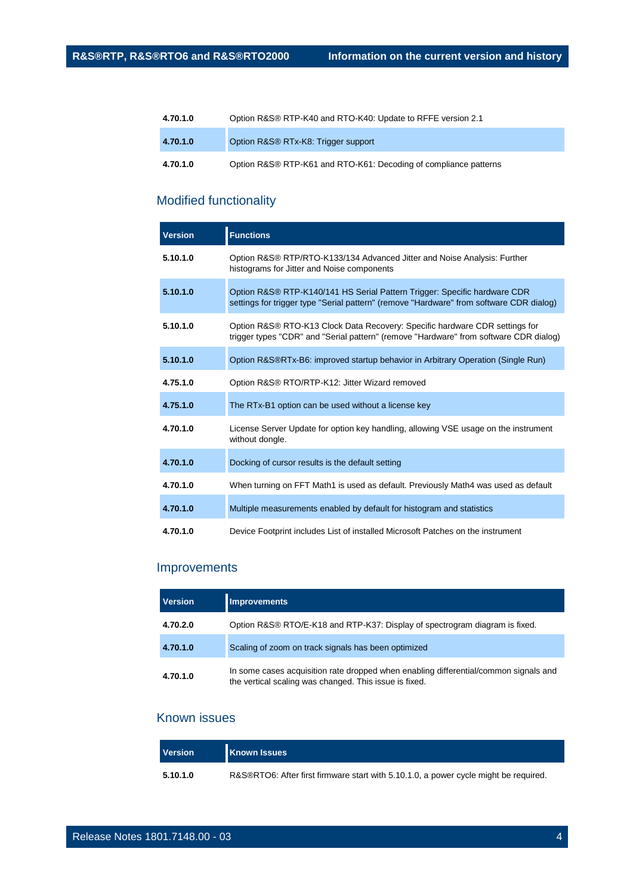| 4.70.1.0 | Option R&S® RTP-K40 and RTO-K40: Update to RFFE version 2.1      |
|----------|------------------------------------------------------------------|
| 4.70.1.0 | Option R&S® RTx-K8: Trigger support                              |
| 4.70.1.0 | Option R&S® RTP-K61 and RTO-K61: Decoding of compliance patterns |

#### Modified functionality

| <b>Version</b> | <b>Functions</b>                                                                                                                                                     |  |  |  |
|----------------|----------------------------------------------------------------------------------------------------------------------------------------------------------------------|--|--|--|
| 5.10.1.0       | Option R&S® RTP/RTO-K133/134 Advanced Jitter and Noise Analysis: Further<br>histograms for Jitter and Noise components                                               |  |  |  |
| 5.10.1.0       | Option R&S® RTP-K140/141 HS Serial Pattern Trigger: Specific hardware CDR<br>settings for trigger type "Serial pattern" (remove "Hardware" from software CDR dialog) |  |  |  |
| 5.10.1.0       | Option R&S® RTO-K13 Clock Data Recovery: Specific hardware CDR settings for<br>trigger types "CDR" and "Serial pattern" (remove "Hardware" from software CDR dialog) |  |  |  |
| 5.10.1.0       | Option R&S®RTx-B6: improved startup behavior in Arbitrary Operation (Single Run)                                                                                     |  |  |  |
| 4.75.1.0       | Option R&S® RTO/RTP-K12: Jitter Wizard removed                                                                                                                       |  |  |  |
| 4.75.1.0       | The RTx-B1 option can be used without a license key                                                                                                                  |  |  |  |
| 4.70.1.0       | License Server Update for option key handling, allowing VSE usage on the instrument<br>without dongle.                                                               |  |  |  |
| 4.70.1.0       | Docking of cursor results is the default setting                                                                                                                     |  |  |  |
| 4.70.1.0       | When turning on FFT Math1 is used as default. Previously Math4 was used as default                                                                                   |  |  |  |
| 4.70.1.0       | Multiple measurements enabled by default for histogram and statistics                                                                                                |  |  |  |
| 4.70.1.0       | Device Footprint includes List of installed Microsoft Patches on the instrument                                                                                      |  |  |  |

#### Improvements

| <b>Version</b><br><b>Improvements</b> |                                                                                                                                                |  |
|---------------------------------------|------------------------------------------------------------------------------------------------------------------------------------------------|--|
| 4.70.2.0                              | Option R&S® RTO/E-K18 and RTP-K37: Display of spectrogram diagram is fixed.                                                                    |  |
| 4.70.1.0                              | Scaling of zoom on track signals has been optimized                                                                                            |  |
| 4.70.1.0                              | In some cases acquisition rate dropped when enabling differential/common signals and<br>the vertical scaling was changed. This issue is fixed. |  |

#### Known issues

| <b>Version</b> | <b>Known Issues</b>                                                                  |
|----------------|--------------------------------------------------------------------------------------|
| 5.10.1.0       | R&S®RTO6: After first firmware start with 5.10.1.0, a power cycle might be required. |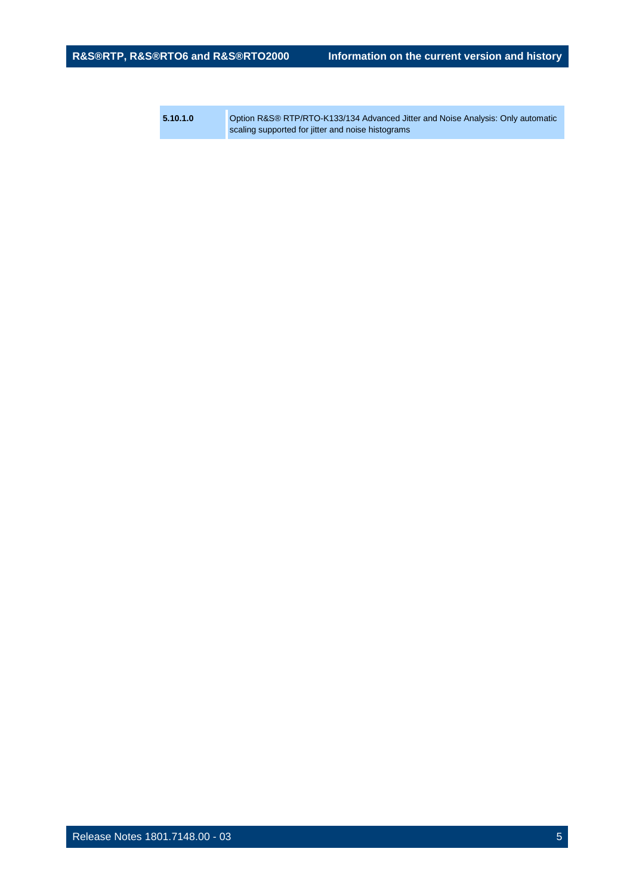**5.10.1.0** Option R&S® RTP/RTO-K133/134 Advanced Jitter and Noise Analysis: Only automatic scaling supported for jitter and noise histograms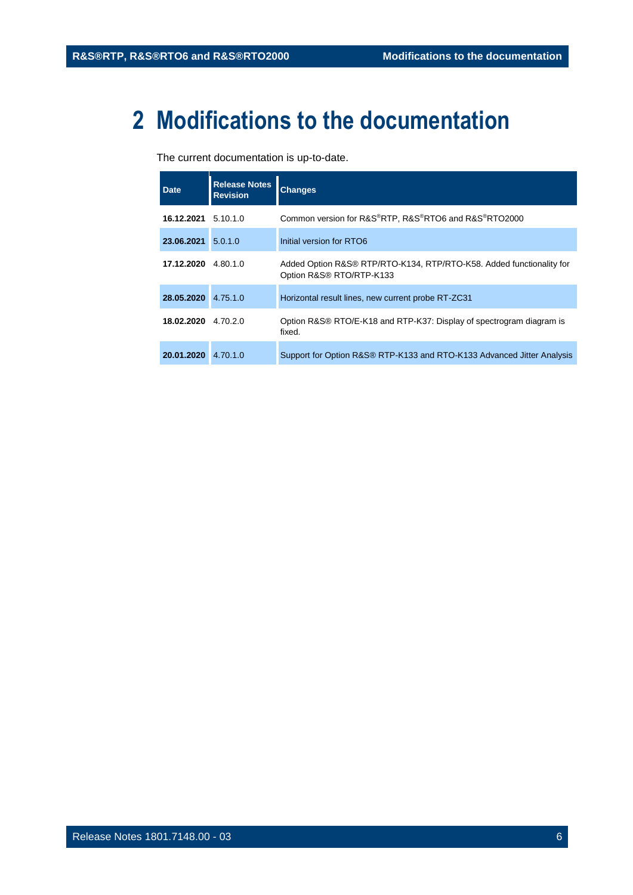## <span id="page-5-0"></span>**2 Modifications to the documentation**

The current documentation is up-to-date.

| Date                | <b>Release Notes</b><br><b>Revision</b> | <b>Changes</b>                                                                                   |
|---------------------|-----------------------------------------|--------------------------------------------------------------------------------------------------|
| 16.12.2021 5.10.1.0 |                                         | Common version for R&S®RTP, R&S®RTO6 and R&S®RTO2000                                             |
| 23.06.2021          | 5.0.1.0                                 | Initial version for RTO6                                                                         |
| 17.12.2020 4.80.1.0 |                                         | Added Option R&S® RTP/RTO-K134, RTP/RTO-K58. Added functionality for<br>Option R&S® RTO/RTP-K133 |
| 28.05.2020          | 4.75.1.0                                | Horizontal result lines, new current probe RT-ZC31                                               |
| 18.02.2020          | 4.70.2.0                                | Option R&S® RTO/E-K18 and RTP-K37: Display of spectrogram diagram is<br>fixed.                   |
| 20.01.2020          | 4.70.1.0                                | Support for Option R&S® RTP-K133 and RTO-K133 Advanced Jitter Analysis                           |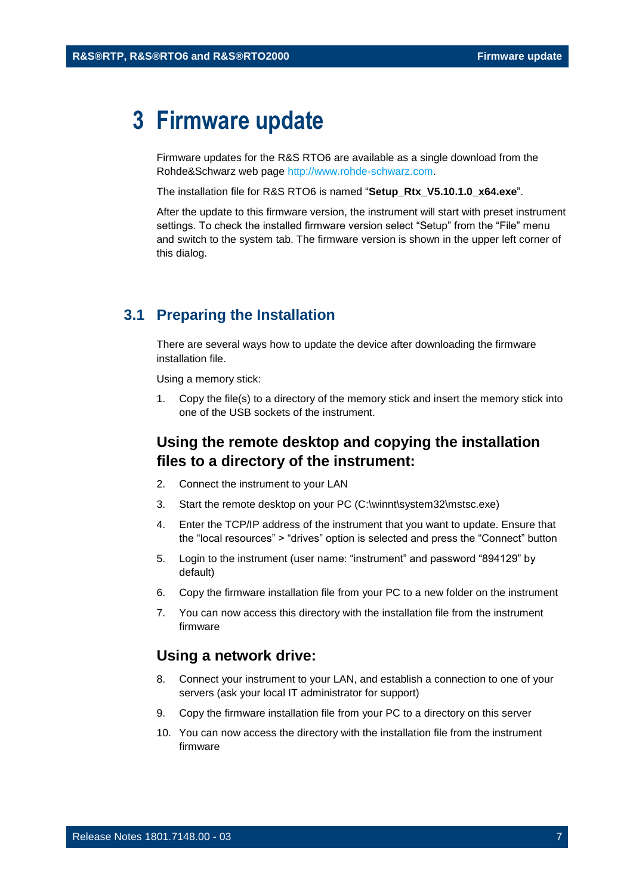### <span id="page-6-0"></span>**3 Firmware update**

Firmware updates for the R&S RTO6 are available as a single download from the Rohde&Schwarz web page [http://www.rohde-schwarz.com.](http://www.rohde-schwarz.com/)

The installation file for R&S RTO6 is named "**Setup\_Rtx\_V5.10.1.0\_x64.exe**".

After the update to this firmware version, the instrument will start with preset instrument settings. To check the installed firmware version select "Setup" from the "File" menu and switch to the system tab. The firmware version is shown in the upper left corner of this dialog.

#### <span id="page-6-1"></span>**3.1 Preparing the Installation**

There are several ways how to update the device after downloading the firmware installation file.

Using a memory stick:

1. Copy the file(s) to a directory of the memory stick and insert the memory stick into one of the USB sockets of the instrument.

#### **Using the remote desktop and copying the installation files to a directory of the instrument:**

- 2. Connect the instrument to your LAN
- 3. Start the remote desktop on your PC (C:\winnt\system32\mstsc.exe)
- 4. Enter the TCP/IP address of the instrument that you want to update. Ensure that the "local resources" > "drives" option is selected and press the "Connect" button
- 5. Login to the instrument (user name: "instrument" and password "894129" by default)
- 6. Copy the firmware installation file from your PC to a new folder on the instrument
- 7. You can now access this directory with the installation file from the instrument firmware

#### **Using a network drive:**

- 8. Connect your instrument to your LAN, and establish a connection to one of your servers (ask your local IT administrator for support)
- 9. Copy the firmware installation file from your PC to a directory on this server
- 10. You can now access the directory with the installation file from the instrument firmware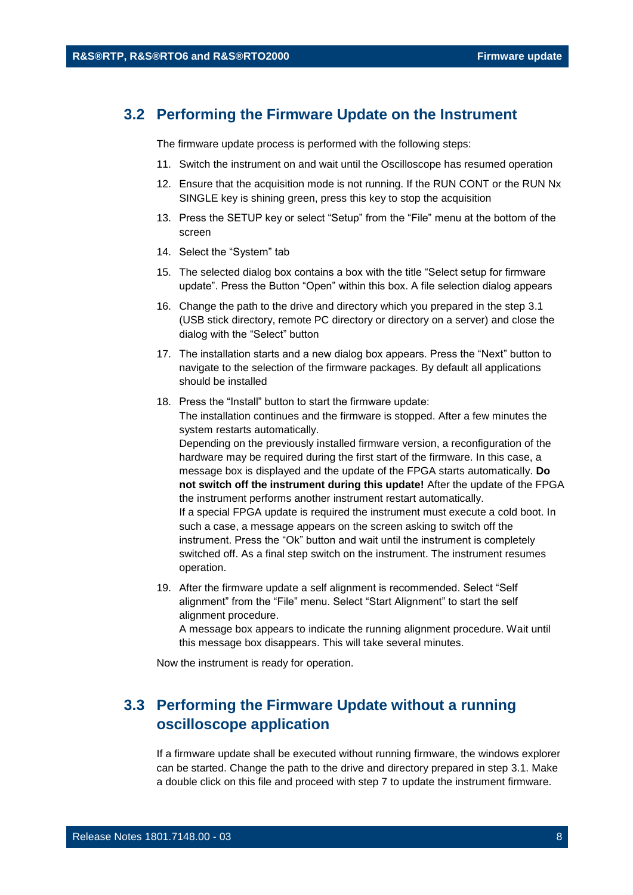#### <span id="page-7-0"></span>**3.2 Performing the Firmware Update on the Instrument**

The firmware update process is performed with the following steps:

- 11. Switch the instrument on and wait until the Oscilloscope has resumed operation
- 12. Ensure that the acquisition mode is not running. If the RUN CONT or the RUN Nx SINGLE key is shining green, press this key to stop the acquisition
- 13. Press the SETUP key or select "Setup" from the "File" menu at the bottom of the screen
- 14. Select the "System" tab
- 15. The selected dialog box contains a box with the title "Select setup for firmware update". Press the Button "Open" within this box. A file selection dialog appears
- 16. Change the path to the drive and directory which you prepared in the step [3.1](#page-6-1) (USB stick directory, remote PC directory or directory on a server) and close the dialog with the "Select" button
- 17. The installation starts and a new dialog box appears. Press the "Next" button to navigate to the selection of the firmware packages. By default all applications should be installed
- 18. Press the "Install" button to start the firmware update: The installation continues and the firmware is stopped. After a few minutes the system restarts automatically. Depending on the previously installed firmware version, a reconfiguration of the hardware may be required during the first start of the firmware. In this case, a message box is displayed and the update of the FPGA starts automatically. **Do not switch off the instrument during this update!** After the update of the FPGA the instrument performs another instrument restart automatically. If a special FPGA update is required the instrument must execute a cold boot. In such a case, a message appears on the screen asking to switch off the instrument. Press the "Ok" button and wait until the instrument is completely switched off. As a final step switch on the instrument. The instrument resumes operation.
- 19. After the firmware update a self alignment is recommended. Select "Self alignment" from the "File" menu. Select "Start Alignment" to start the self alignment procedure.

A message box appears to indicate the running alignment procedure. Wait until this message box disappears. This will take several minutes.

<span id="page-7-1"></span>Now the instrument is ready for operation.

#### **3.3 Performing the Firmware Update without a running oscilloscope application**

If a firmware update shall be executed without running firmware, the windows explorer can be started. Change the path to the drive and directory prepared in step [3.1.](#page-6-1) Make a double click on this file and proceed with step 7 to update the instrument firmware.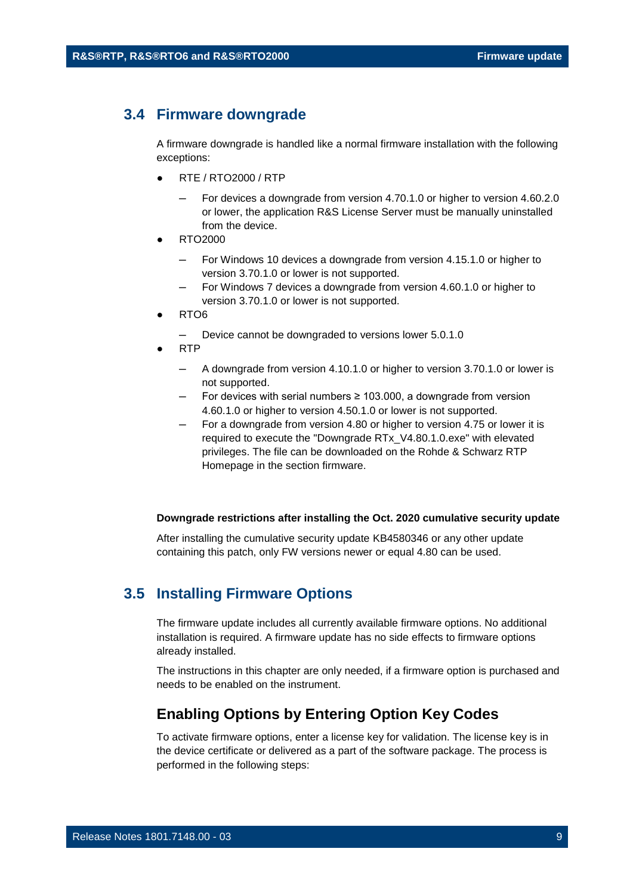#### <span id="page-8-0"></span>**3.4 Firmware downgrade**

A firmware downgrade is handled like a normal firmware installation with the following exceptions:

- RTE / RTO2000 / RTP
	- For devices a downgrade from version 4.70.1.0 or higher to version 4.60.2.0 or lower, the application R&S License Server must be manually uninstalled from the device.
- RTO2000
	- For Windows 10 devices a downgrade from version 4.15.1.0 or higher to version 3.70.1.0 or lower is not supported.
	- For Windows 7 devices a downgrade from version 4.60.1.0 or higher to version 3.70.1.0 or lower is not supported.
- RTO6
	- Device cannot be downgraded to versions lower 5.0.1.0
- RTP
	- ─ A downgrade from version 4.10.1.0 or higher to version 3.70.1.0 or lower is not supported.
	- For devices with serial numbers  $\geq 103.000$ , a downgrade from version 4.60.1.0 or higher to version 4.50.1.0 or lower is not supported.
	- For a downgrade from version 4.80 or higher to version 4.75 or lower it is required to execute the "Downgrade RTx\_V4.80.1.0.exe" with elevated privileges. The file can be downloaded on the Rohde & Schwarz RTP Homepage in the section firmware.

#### **Downgrade restrictions after installing the Oct. 2020 cumulative security update**

<span id="page-8-1"></span>After installing the cumulative security update KB4580346 or any other update containing this patch, only FW versions newer or equal 4.80 can be used.

#### **3.5 Installing Firmware Options**

The firmware update includes all currently available firmware options. No additional installation is required. A firmware update has no side effects to firmware options already installed.

The instructions in this chapter are only needed, if a firmware option is purchased and needs to be enabled on the instrument.

#### **Enabling Options by Entering Option Key Codes**

To activate firmware options, enter a license key for validation. The license key is in the device certificate or delivered as a part of the software package. The process is performed in the following steps: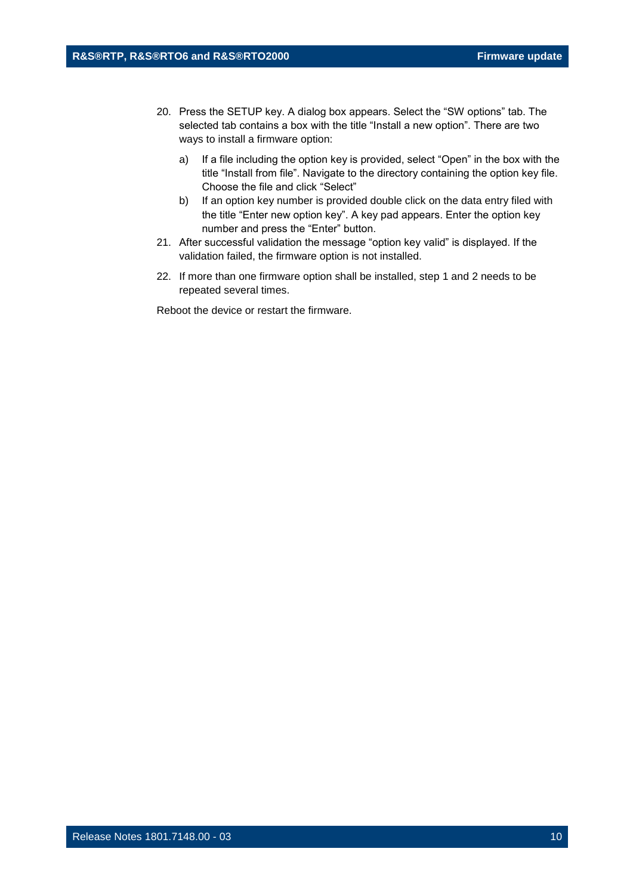- 20. Press the SETUP key. A dialog box appears. Select the "SW options" tab. The selected tab contains a box with the title "Install a new option". There are two ways to install a firmware option:
	- a) If a file including the option key is provided, select "Open" in the box with the title "Install from file". Navigate to the directory containing the option key file. Choose the file and click "Select"
	- b) If an option key number is provided double click on the data entry filed with the title "Enter new option key". A key pad appears. Enter the option key number and press the "Enter" button.
- 21. After successful validation the message "option key valid" is displayed. If the validation failed, the firmware option is not installed.
- 22. If more than one firmware option shall be installed, step 1 and 2 needs to be repeated several times.

Reboot the device or restart the firmware.